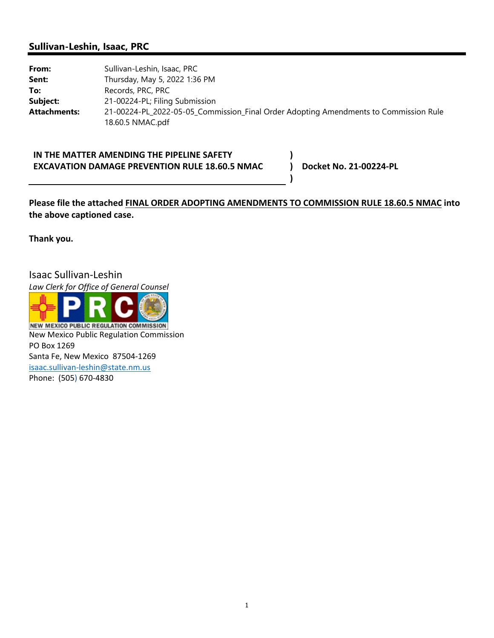## **Sullivan-Leshin, Isaac, PRC**

From: Sullivan-Leshin, Isaac, PRC **Sent:** Thursday, May 5, 2022 1:36 PM To: Records, PRC, PRC **Subject:** 21-00224-PL; Filing Submission **Attachments:** 21-00224-PL\_2022-05-05\_Commission\_Final Order Adopting Amendments to Commission Rule 18.60.5 NMAC.pdf

**IN THE MATTER AMENDING THE PIPELINE SAFETY EXCAVATION DAMAGE PREVENTION RULE 18.60.5 NMAC**

**Docket No. 21‐00224‐PL**

## **Please file the attached FINAL ORDER ADOPTING AMENDMENTS TO COMMISSION RULE 18.60.5 NMAC into the above captioned case.**

**) ) )**

**Thank you.** 

Isaac Sullivan‐Leshin

*Law Clerk for Office of General Counsel*



**NEW MEXICO PUBLIC REGULATION COMMISSION** New Mexico Public Regulation Commission PO Box 1269 Santa Fe, New Mexico 87504‐1269 isaac.sullivan‐leshin@state.nm.us Phone: (505) 670‐4830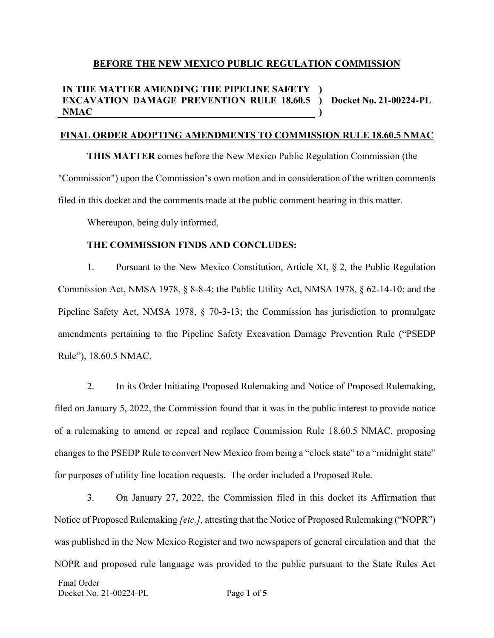### **BEFORE THE NEW MEXICO PUBLIC REGULATION COMMISSION**

#### **IN THE MATTER AMENDING THE PIPELINE SAFETY ) EXCAVATION DAMAGE PREVENTION RULE 18.60.5 ) Docket No. 21-00224-PL NMAC )**

## **FINAL ORDER ADOPTING AMENDMENTS TO COMMISSION RULE 18.60.5 NMAC**

**THIS MATTER** comes before the New Mexico Public Regulation Commission (the "Commission") upon the Commission's own motion and in consideration of the written comments filed in this docket and the comments made at the public comment hearing in this matter.

Whereupon, being duly informed,

### **THE COMMISSION FINDS AND CONCLUDES:**

1. Pursuant to the New Mexico Constitution, Article XI, § 2*,* the Public Regulation Commission Act, NMSA 1978, § 8-8-4; the Public Utility Act, NMSA 1978, § 62-14-10; and the Pipeline Safety Act, NMSA 1978, § 70-3-13; the Commission has jurisdiction to promulgate amendments pertaining to the Pipeline Safety Excavation Damage Prevention Rule ("PSEDP Rule"), 18.60.5 NMAC.

2. In its Order Initiating Proposed Rulemaking and Notice of Proposed Rulemaking, filed on January 5, 2022, the Commission found that it was in the public interest to provide notice of a rulemaking to amend or repeal and replace Commission Rule 18.60.5 NMAC, proposing changes to the PSEDP Rule to convert New Mexico from being a "clock state" to a "midnight state" for purposes of utility line location requests. The order included a Proposed Rule.

Final Order Docket No. 21-00224-PL Page **1** of **5** 3. On January 27, 2022, the Commission filed in this docket its Affirmation that Notice of Proposed Rulemaking *[etc.],* attesting that the Notice of Proposed Rulemaking ("NOPR") was published in the New Mexico Register and two newspapers of general circulation and that the NOPR and proposed rule language was provided to the public pursuant to the State Rules Act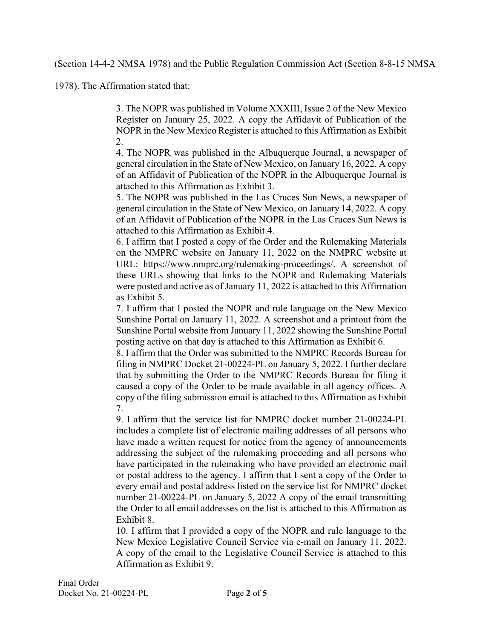(Section 14-4-2 NMSA 1978) and the Public Regulation Commission Act (Section 8-8-15 NMSA

1978). The Affirmation stated that:

3. The NOPR was published in Volume XXXIII, Issue 2 of the New Mexico Register on January 25, 2022. A copy the Affidavit of Publication of the NOPR in the New Mexico Register is attached to this Affirmation as Exhibit 2.

4. The NOPR was published in the Albuquerque Journal, a newspaper of general circulation in the State of New Mexico, on January 16, 2022. A copy of an Affidavit of Publication of the NOPR in the Albuquerque Journal is attached to this Affirmation as Exhibit 3.

5. The NOPR was published in the Las Cruces Sun News, a newspaper of general circulation in the State of New Mexico, on January 14, 2022. A copy of an Affidavit of Publication of the NOPR in the Las Cruces Sun News is attached to this Affirmation as Exhibit 4.

6. I affirm that I posted a copy of the Order and the Rulemaking Materials on the NMPRC website on January 11, 2022 on the NMPRC website at URL: https://www.nmprc.org/rulemaking-proceedings/. A screenshot of these URLs showing that links to the NOPR and Rulemaking Materials were posted and active as of January 11, 2022 is attached to this Affirmation as Exhibit 5.

7. I affirm that I posted the NOPR and rule language on the New Mexico Sunshine Portal on January 11, 2022. A screenshot and a printout from the Sunshine Portal website from January 11, 2022 showing the Sunshine Portal posting active on that day is attached to this Affirmation as Exhibit 6.

8. I affirm that the Order was submitted to the NMPRC Records Bureau for filing in NMPRC Docket 21-00224-PL on January 5, 2022. I further declare that by submitting the Order to the NMPRC Records Bureau for filing it caused a copy of the Order to be made available in all agency offices. A copy of the filing submission email is attached to this Affirmation as Exhibit 7.

9. I affirm that the service list for NMPRC docket number 21-00224-PL includes a complete list of electronic mailing addresses of all persons who have made a written request for notice from the agency of announcements addressing the subject of the rulemaking proceeding and all persons who have participated in the rulemaking who have provided an electronic mail or postal address to the agency. I affirm that I sent a copy of the Order to every email and postal address listed on the service list for NMPRC docket number 21-00224-PL on January 5, 2022 A copy of the email transmitting the Order to all email addresses on the list is attached to this Affirmation as Exhibit 8.

10. I affirm that I provided a copy of the NOPR and rule language to the New Mexico Legislative Council Service via e-mail on January 11, 2022. A copy of the email to the Legislative Council Service is attached to this Affirmation as Exhibit 9.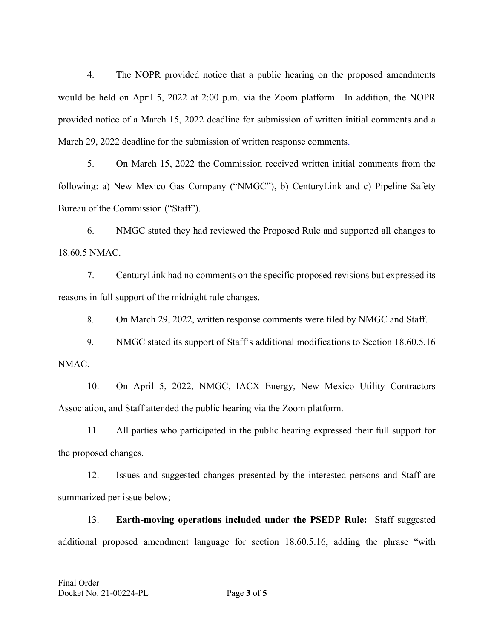4. The NOPR provided notice that a public hearing on the proposed amendments would be held on April 5, 2022 at 2:00 p.m. via the Zoom platform. In addition, the NOPR provided notice of a March 15, 2022 deadline for submission of written initial comments and a March 29, 2022 deadline for the submission of written response comments.

5. On March 15, 2022 the Commission received written initial comments from the following: a) New Mexico Gas Company ("NMGC"), b) CenturyLink and c) Pipeline Safety Bureau of the Commission ("Staff").

6. NMGC stated they had reviewed the Proposed Rule and supported all changes to 18.60.5 NMAC.

7. CenturyLink had no comments on the specific proposed revisions but expressed its reasons in full support of the midnight rule changes.

8. On March 29, 2022, written response comments were filed by NMGC and Staff.

9. NMGC stated its support of Staff's additional modifications to Section 18.60.5.16 NMAC.

10. On April 5, 2022, NMGC, IACX Energy, New Mexico Utility Contractors Association, and Staff attended the public hearing via the Zoom platform.

11. All parties who participated in the public hearing expressed their full support for the proposed changes.

12. Issues and suggested changes presented by the interested persons and Staff are summarized per issue below;

13. **Earth-moving operations included under the PSEDP Rule:** Staff suggested additional proposed amendment language for section 18.60.5.16, adding the phrase "with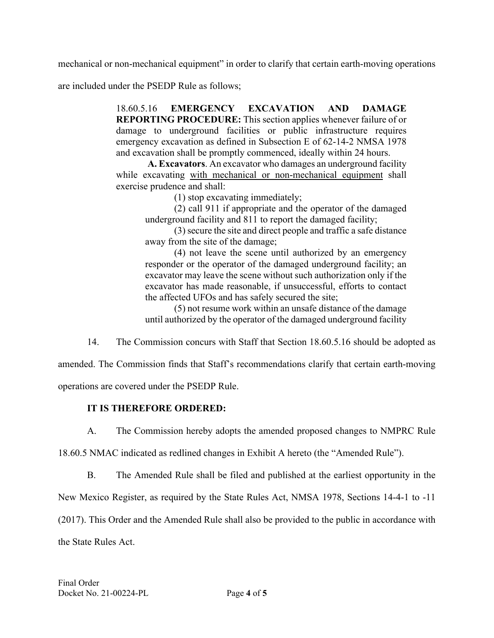mechanical or non-mechanical equipment" in order to clarify that certain earth-moving operations

are included under the PSEDP Rule as follows;

18.60.5.16 **EMERGENCY EXCAVATION AND DAMAGE REPORTING PROCEDURE:** This section applies whenever failure of or damage to underground facilities or public infrastructure requires emergency excavation as defined in Subsection E of 62-14-2 NMSA 1978 and excavation shall be promptly commenced, ideally within 24 hours.

**A. Excavators**. An excavator who damages an underground facility while excavating with mechanical or non-mechanical equipment shall exercise prudence and shall:

(1) stop excavating immediately;

(2) call 911 if appropriate and the operator of the damaged underground facility and 811 to report the damaged facility;

(3) secure the site and direct people and traffic a safe distance away from the site of the damage;

(4) not leave the scene until authorized by an emergency responder or the operator of the damaged underground facility; an excavator may leave the scene without such authorization only if the excavator has made reasonable, if unsuccessful, efforts to contact the affected UFOs and has safely secured the site;

(5) not resume work within an unsafe distance of the damage until authorized by the operator of the damaged underground facility

14. The Commission concurs with Staff that Section 18.60.5.16 should be adopted as

amended. The Commission finds that Staff's recommendations clarify that certain earth-moving operations are covered under the PSEDP Rule.

## **IT IS THEREFORE ORDERED:**

A. The Commission hereby adopts the amended proposed changes to NMPRC Rule

18.60.5 NMAC indicated as redlined changes in Exhibit A hereto (the "Amended Rule").

B. The Amended Rule shall be filed and published at the earliest opportunity in the

New Mexico Register, as required by the State Rules Act, NMSA 1978, Sections 14-4-1 to -11

(2017). This Order and the Amended Rule shall also be provided to the public in accordance with

the State Rules Act.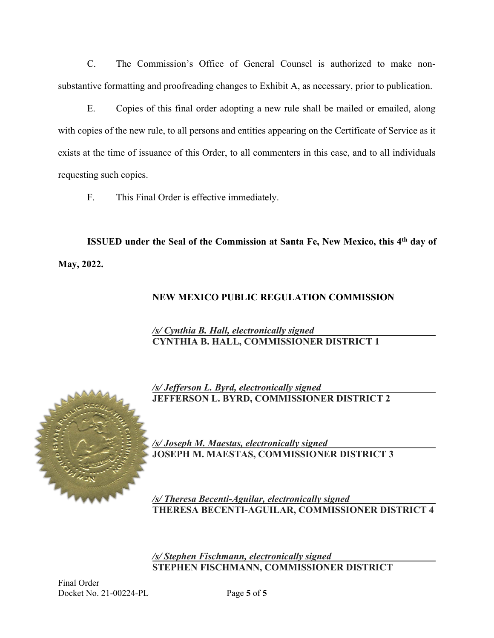C. The Commission's Office of General Counsel is authorized to make nonsubstantive formatting and proofreading changes to Exhibit A, as necessary, prior to publication.

E. Copies of this final order adopting a new rule shall be mailed or emailed, along with copies of the new rule, to all persons and entities appearing on the Certificate of Service as it exists at the time of issuance of this Order, to all commenters in this case, and to all individuals requesting such copies.

F. This Final Order is effective immediately.

**ISSUED under the Seal of the Commission at Santa Fe, New Mexico, this 4th day of May, 2022.**

# **NEW MEXICO PUBLIC REGULATION COMMISSION**

## */s/ Cynthia B. Hall, electronically signed* **CYNTHIA B. HALL, COMMISSIONER DISTRICT 1**



*/s/ Jefferson L. Byrd, electronically signed* **JEFFERSON L. BYRD, COMMISSIONER DISTRICT 2**

*/s/ Joseph M. Maestas, electronically signed*  **JOSEPH M. MAESTAS, COMMISSIONER DISTRICT 3**

*/s/ Theresa Becenti-Aguilar, electronically signed* **THERESA BECENTI-AGUILAR, COMMISSIONER DISTRICT 4**

*/s/ Stephen Fischmann, electronically signed* **STEPHEN FISCHMANN, COMMISSIONER DISTRICT**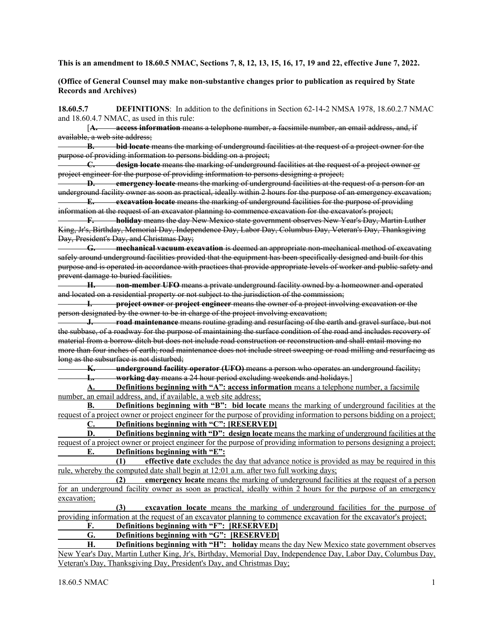**This is an amendment to 18.60.5 NMAC, Sections 7, 8, 12, 13, 15, 16, 17, 19 and 22, effective June 7, 2022.**

#### **(Office of General Counsel may make non-substantive changes prior to publication as required by State Records and Archives)**

**18.60.5.7 DEFINITIONS**: In addition to the definitions in Section 62-14-2 NMSA 1978, 18.60.2.7 NMAC and 18.60.4.7 NMAC, as used in this rule:

 [**A. access information** means a telephone number, a facsimile number, an email address, and, if available, a web site address;

**B. bid locate** means the marking of underground facilities at the request of a project owner for the purpose of providing information to persons bidding on a project;

**C. design locate** means the marking of underground facilities at the request of a project owner or project engineer for the purpose of providing information to persons designing a project;

**D. emergency locate** means the marking of underground facilities at the request of a person for an underground facility owner as soon as practical, ideally within 2 hours for the purpose of an emergency excavation;

**E. excavation locate** means the marking of underground facilities for the purpose of providing information at the request of an excavator planning to commence excavation for the excavator's project;

**F. holiday** means the day New Mexico state government observes New Year's Day, Martin Luther King, Jr's, Birthday, Memorial Day, Independence Day, Labor Day, Columbus Day, Veteran's Day, Thanksgiving Day, President's Day, and Christmas Day;

**G. mechanical vacuum excavation** is deemed an appropriate non-mechanical method of excavating safely around underground facilities provided that the equipment has been specifically designed and built for this purpose and is operated in accordance with practices that provide appropriate levels of worker and public safety and prevent damage to buried facilities.

**H. non-member UFO** means a private underground facility owned by a homeowner and operated and located on a residential property or not subject to the jurisdiction of the commission;

**I. project owner** or **project engineer** means the owner of a project involving excavation or the person designated by the owner to be in charge of the project involving excavation;

**J. road maintenance** means routine grading and resurfacing of the earth and gravel surface, but not the subbase, of a roadway for the purpose of maintaining the surface condition of the road and includes recovery of material from a borrow ditch but does not include road construction or reconstruction and shall entail moving no more than four inches of earth; road maintenance does not include street sweeping or road milling and resurfacing as long as the subsurface is not disturbed;

**K. underground facility operator (UFO)** means a person who operates an underground facility; **L. working day** means a 24 hour period excluding weekends and holidays.]

**A. Definitions beginning with "A": access information** means a telephone number, a facsimile number, an email address, and, if available, a web site address;

**B. Definitions beginning with "B": bid locate** means the marking of underground facilities at the request of a project owner or project engineer for the purpose of providing information to persons bidding on a project;

**C. Definitions beginning with "C": [RESERVED]** 

**D. Definitions beginning with "D": design locate** means the marking of underground facilities at the request of a project owner or project engineer for the purpose of providing information to persons designing a project; **E. Definitions beginning with "E":** 

 **(1) effective date** excludes the day that advance notice is provided as may be required in this rule, whereby the computed date shall begin at 12:01 a.m. after two full working days;<br>(2) emergency locate means the marking of underground facil

**emergency locate** means the marking of underground facilities at the request of a person for an underground facility owner as soon as practical, ideally within 2 hours for the purpose of an emergency excavation;

 **(3) excavation locate** means the marking of underground facilities for the purpose of providing information at the request of an excavator planning to commence excavation for the excavator's project;

## **F. Definitions beginning with "F": [RESERVED]**

### **G. Definitions beginning with "G": [RESERVED]**

**H. Definitions beginning with "H": holiday** means the day New Mexico state government observes New Year's Day, Martin Luther King, Jr's, Birthday, Memorial Day, Independence Day, Labor Day, Columbus Day, Veteran's Day, Thanksgiving Day, President's Day, and Christmas Day;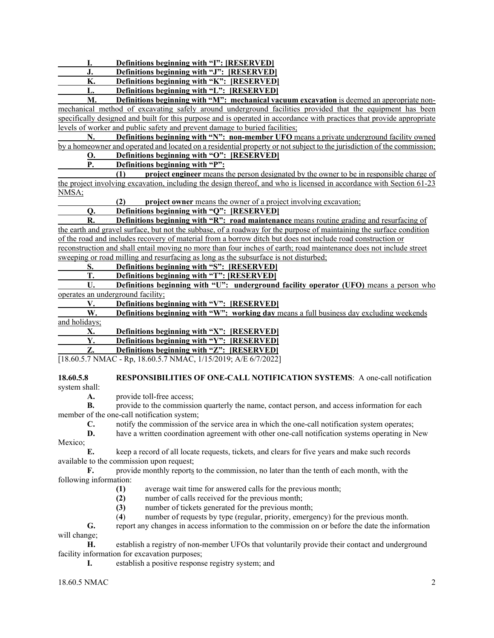**I. Definitions beginning with "I": [RESERVED]**

**J. Definitions beginning with "J": [RESERVED]**

**K. Definitions beginning with "K": [RESERVED]**

**L. Definitions beginning with "L": [RESERVED]**

**M. Definitions beginning with "M": mechanical vacuum excavation** is deemed an appropriate nonmechanical method of excavating safely around underground facilities provided that the equipment has been specifically designed and built for this purpose and is operated in accordance with practices that provide appropriate levels of worker and public safety and prevent damage to buried facilities;

**N. Definitions beginning with "N": non-member UFO** means a private underground facility owned by a homeowner and operated and located on a residential property or not subject to the jurisdiction of the commission;

## **O. Definitions beginning with "O": [RESERVED]**

 **P. Definitions beginning with "P":** 

 **(1) project engineer** means the person designated by the owner to be in responsible charge of the project involving excavation, including the design thereof, and who is licensed in accordance with Section 61-23 NMSA;

**project owner** means the owner of a project involving excavation;

#### **Q. Definitions beginning with "Q": [RESERVED]**

**R. Definitions beginning with "R": road maintenance** means routine grading and resurfacing of the earth and gravel surface, but not the subbase, of a roadway for the purpose of maintaining the surface condition of the road and includes recovery of material from a borrow ditch but does not include road construction or reconstruction and shall entail moving no more than four inches of earth; road maintenance does not include street sweeping or road milling and resurfacing as long as the subsurface is not disturbed;

### **S. Definitions beginning with "S": [RESERVED]**

**T.** Definitions beginning with "T": [RESERVED]<br>U. Definitions beginning with "U": underground

**Definitions beginning with "U": underground facility operator (UFO)** means a person who operates an underground facility;

**V. Definitions beginning with "V": [RESERVED]**

**W.** Definitions beginning with "W": working day means a full business day excluding weekends and holidays;

|  | Definitions beginning with "X": [RESERVED] |
|--|--------------------------------------------|
|  |                                            |

**Y. Definitions beginning with "Y": [RESERVED]**

**Definitions beginning with "Z": [RESERVED]** 

[18.60.5.7 NMAC - Rp, 18.60.5.7 NMAC, 1/15/2019; A/E 6/7/2022]

## **18.60.5.8 RESPONSIBILITIES OF ONE-CALL NOTIFICATION SYSTEMS**: A one-call notification

system shall:

**A.** provide toll-free access;

**B.** provide to the commission quarterly the name, contact person, and access information for each member of the one-call notification system;

**C.** notify the commission of the service area in which the one-call notification system operates;

**D.** have a written coordination agreement with other one-call notification systems operating in New Mexico;

**E.** keep a record of all locate requests, tickets, and clears for five years and make such records available to the commission upon request;

**F.** provide monthly reports to the commission, no later than the tenth of each month, with the following information:

- **(1)** average wait time for answered calls for the previous month;
- **(2)** number of calls received for the previous month;
- **(3)** number of tickets generated for the previous month;
- (**4**) number of requests by type (regular, priority, emergency) for the previous month.

**G.** report any changes in access information to the commission on or before the date the information will change;

**H.** establish a registry of non-member UFOs that voluntarily provide their contact and underground facility information for excavation purposes;

**I.** establish a positive response registry system; and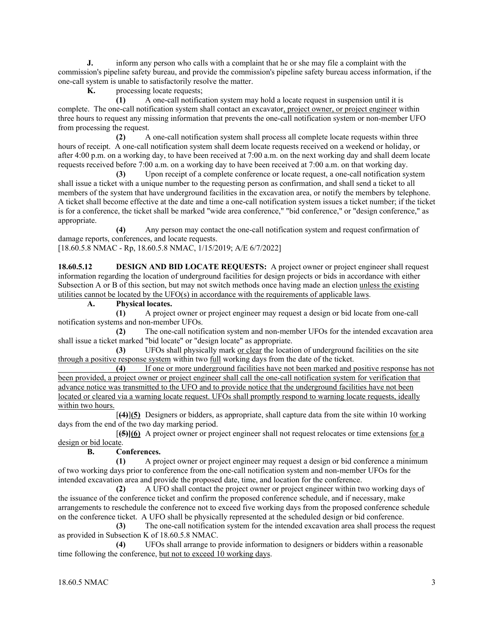**J.** inform any person who calls with a complaint that he or she may file a complaint with the commission's pipeline safety bureau, and provide the commission's pipeline safety bureau access information, if the one-call system is unable to satisfactorily resolve the matter.<br> **K** processing locate requests:

processing locate requests;

 **(1)** A one-call notification system may hold a locate request in suspension until it is complete. The one-call notification system shall contact an excavator, project owner, or project engineer within three hours to request any missing information that prevents the one-call notification system or non-member UFO from processing the request.

 **(2)** A one-call notification system shall process all complete locate requests within three hours of receipt. A one-call notification system shall deem locate requests received on a weekend or holiday, or after 4:00 p.m. on a working day, to have been received at 7:00 a.m. on the next working day and shall deem locate requests received before 7:00 a.m. on a working day to have been received at 7:00 a.m. on that working day.

 **(3)** Upon receipt of a complete conference or locate request, a one-call notification system shall issue a ticket with a unique number to the requesting person as confirmation, and shall send a ticket to all members of the system that have underground facilities in the excavation area, or notify the members by telephone. A ticket shall become effective at the date and time a one-call notification system issues a ticket number; if the ticket is for a conference, the ticket shall be marked "wide area conference," "bid conference," or "design conference," as appropriate.

 **(4)** Any person may contact the one-call notification system and request confirmation of damage reports, conferences, and locate requests.

[18.60.5.8 NMAC - Rp, 18.60.5.8 NMAC, 1/15/2019; A/E 6/7/2022]

**18.60.5.12 DESIGN AND BID LOCATE REQUESTS:** A project owner or project engineer shall request information regarding the location of underground facilities for design projects or bids in accordance with either Subsection A or B of this section, but may not switch methods once having made an election unless the existing utilities cannot be located by the UFO(s) in accordance with the requirements of applicable laws.

**A. Physical locates.**

 **(1)** A project owner or project engineer may request a design or bid locate from one-call notification systems and non-member UFOs.

 **(2)** The one-call notification system and non-member UFOs for the intended excavation area shall issue a ticket marked "bid locate" or "design locate" as appropriate.

 **(3)** UFOs shall physically mark or clear the location of underground facilities on the site through a positive response system within two full working days from the date of the ticket.

 **(4)** If one or more underground facilities have not been marked and positive response has not been provided, a project owner or project engineer shall call the one-call notification system for verification that advance notice was transmitted to the UFO and to provide notice that the underground facilities have not been located or cleared via a warning locate request. UFOs shall promptly respond to warning locate requests, ideally within two hours.

 [**(4)**]**(5)** Designers or bidders, as appropriate, shall capture data from the site within 10 working days from the end of the two day marking period.

 [**(5)](6)** A project owner or project engineer shall not request relocates or time extensions for a  $\frac{design \space or \space bid \space locate}{\mathbf{B}}$ .

### **B. Conferences.**

 **(1)** A project owner or project engineer may request a design or bid conference a minimum of two working days prior to conference from the one-call notification system and non-member UFOs for the intended excavation area and provide the proposed date, time, and location for the conference.

 **(2)** A UFO shall contact the project owner or project engineer within two working days of the issuance of the conference ticket and confirm the proposed conference schedule, and if necessary, make arrangements to reschedule the conference not to exceed five working days from the proposed conference schedule on the conference ticket. A UFO shall be physically represented at the scheduled design or bid conference.

 **(3)** The one-call notification system for the intended excavation area shall process the request as provided in Subsection K of 18.60.5.8 NMAC.

 **(4)** UFOs shall arrange to provide information to designers or bidders within a reasonable time following the conference, but not to exceed 10 working days.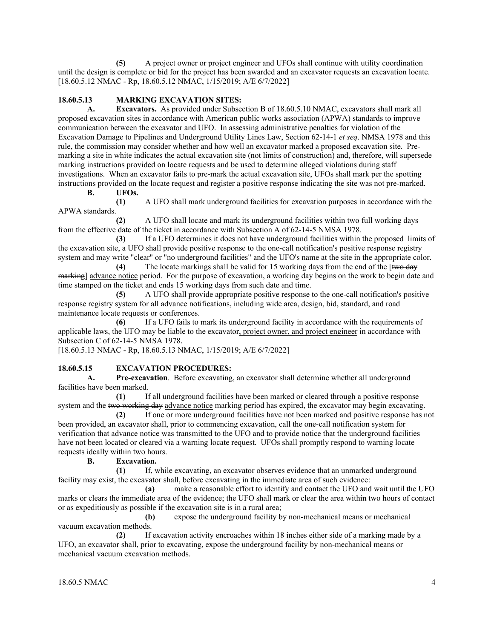**(5)** A project owner or project engineer and UFOs shall continue with utility coordination until the design is complete or bid for the project has been awarded and an excavator requests an excavation locate. [18.60.5.12 NMAC - Rp, 18.60.5.12 NMAC, 1/15/2019; A/E 6/7/2022]

#### **18.60.5.13 MARKING EXCAVATION SITES:**

**A. Excavators.** As provided under Subsection B of 18.60.5.10 NMAC, excavators shall mark all proposed excavation sites in accordance with American public works association (APWA) standards to improve communication between the excavator and UFO. In assessing administrative penalties for violation of the Excavation Damage to Pipelines and Underground Utility Lines Law, Section 62-14-1 *et seq*. NMSA 1978 and this rule, the commission may consider whether and how well an excavator marked a proposed excavation site. Premarking a site in white indicates the actual excavation site (not limits of construction) and, therefore, will supersede marking instructions provided on locate requests and be used to determine alleged violations during staff investigations. When an excavator fails to pre-mark the actual excavation site, UFOs shall mark per the spotting instructions provided on the locate request and register a positive response indicating the site was not pre-marked.

**B. UFOs.**

 **(1)** A UFO shall mark underground facilities for excavation purposes in accordance with the APWA standards.

 **(2)** A UFO shall locate and mark its underground facilities within two full working days from the effective date of the ticket in accordance with Subsection A of 62-14-5 NMSA 1978.

 **(3)** If a UFO determines it does not have underground facilities within the proposed limits of the excavation site, a UFO shall provide positive response to the one-call notification's positive response registry system and may write "clear" or "no underground facilities" and the UFO's name at the site in the appropriate color.

 **(4)** The locate markings shall be valid for 15 working days from the end of the [two day marking] advance notice period. For the purpose of excavation, a working day begins on the work to begin date and time stamped on the ticket and ends 15 working days from such date and time.

 **(5)** A UFO shall provide appropriate positive response to the one-call notification's positive response registry system for all advance notifications, including wide area, design, bid, standard, and road maintenance locate requests or conferences.

 **(6)** If a UFO fails to mark its underground facility in accordance with the requirements of applicable laws, the UFO may be liable to the excavator, project owner, and project engineer in accordance with Subsection C of 62-14-5 NMSA 1978.

[18.60.5.13 NMAC - Rp, 18.60.5.13 NMAC, 1/15/2019; A/E 6/7/2022]

#### **18.60.5.15 EXCAVATION PROCEDURES:**

**A. Pre-excavation**. Before excavating, an excavator shall determine whether all underground facilities have been marked.

 **(1)** If all underground facilities have been marked or cleared through a positive response system and the two working day advance notice marking period has expired, the excavator may begin excavating.

 **(2)** If one or more underground facilities have not been marked and positive response has not been provided, an excavator shall, prior to commencing excavation, call the one-call notification system for verification that advance notice was transmitted to the UFO and to provide notice that the underground facilities have not been located or cleared via a warning locate request. UFOs shall promptly respond to warning locate requests ideally within two hours.

**B. Excavation.**

 **(1)** If, while excavating, an excavator observes evidence that an unmarked underground facility may exist, the excavator shall, before excavating in the immediate area of such evidence:

 **(a)** make a reasonable effort to identify and contact the UFO and wait until the UFO marks or clears the immediate area of the evidence; the UFO shall mark or clear the area within two hours of contact or as expeditiously as possible if the excavation site is in a rural area;

 **(b)** expose the underground facility by non-mechanical means or mechanical vacuum excavation methods.

 **(2)** If excavation activity encroaches within 18 inches either side of a marking made by a UFO, an excavator shall, prior to excavating, expose the underground facility by non-mechanical means or mechanical vacuum excavation methods.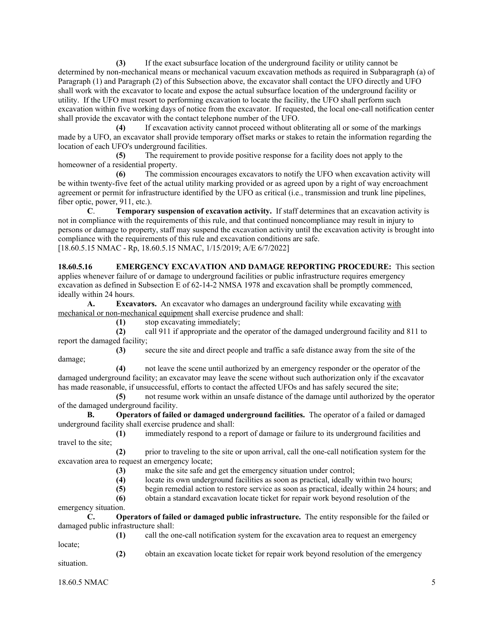**(3)** If the exact subsurface location of the underground facility or utility cannot be determined by non-mechanical means or mechanical vacuum excavation methods as required in Subparagraph (a) of Paragraph (1) and Paragraph (2) of this Subsection above, the excavator shall contact the UFO directly and UFO shall work with the excavator to locate and expose the actual subsurface location of the underground facility or utility. If the UFO must resort to performing excavation to locate the facility, the UFO shall perform such excavation within five working days of notice from the excavator. If requested, the local one-call notification center shall provide the excavator with the contact telephone number of the UFO.

 **(4)** If excavation activity cannot proceed without obliterating all or some of the markings made by a UFO, an excavator shall provide temporary offset marks or stakes to retain the information regarding the location of each UFO's underground facilities.

 **(5)** The requirement to provide positive response for a facility does not apply to the homeowner of a residential property.

 **(6)** The commission encourages excavators to notify the UFO when excavation activity will be within twenty-five feet of the actual utility marking provided or as agreed upon by a right of way encroachment agreement or permit for infrastructure identified by the UFO as critical (i.e., transmission and trunk line pipelines, fiber optic, power, 911, etc.).

**C**. **Temporary suspension of excavation activity.** If staff determines that an excavation activity is not in compliance with the requirements of this rule, and that continued noncompliance may result in injury to persons or damage to property, staff may suspend the excavation activity until the excavation activity is brought into compliance with the requirements of this rule and excavation conditions are safe. [18.60.5.15 NMAC - Rp, 18.60.5.15 NMAC, 1/15/2019; A/E 6/7/2022]

**18.60.5.16 EMERGENCY EXCAVATION AND DAMAGE REPORTING PROCEDURE:** This section applies whenever failure of or damage to underground facilities or public infrastructure requires emergency excavation as defined in Subsection E of 62-14-2 NMSA 1978 and excavation shall be promptly commenced, ideally within 24 hours.

**A. Excavators.** An excavator who damages an underground facility while excavating with mechanical or non-mechanical equipment shall exercise prudence and shall:

**(1)** stop excavating immediately;

 **(2)** call 911 if appropriate and the operator of the damaged underground facility and 811 to report the damaged facility;

 **(3)** secure the site and direct people and traffic a safe distance away from the site of the damage;

 **(4)** not leave the scene until authorized by an emergency responder or the operator of the damaged underground facility; an excavator may leave the scene without such authorization only if the excavator has made reasonable, if unsuccessful, efforts to contact the affected UFOs and has safely secured the site;

 **(5)** not resume work within an unsafe distance of the damage until authorized by the operator of the damaged underground facility.

**B. Operators of failed or damaged underground facilities.** The operator of a failed or damaged underground facility shall exercise prudence and shall:

 **(1)** immediately respond to a report of damage or failure to its underground facilities and travel to the site;

 **(2)** prior to traveling to the site or upon arrival, call the one-call notification system for the excavation area to request an emergency locate;

- (3) make the site safe and get the emergency situation under control;<br>(4) locate its own underground facilities as soon as practical, ideally
- locate its own underground facilities as soon as practical, ideally within two hours;
- **(5)** begin remedial action to restore service as soon as practical, ideally within 24 hours; and

**(6)** obtain a standard excavation locate ticket for repair work beyond resolution of the

emergency situation.

**C. Operators of failed or damaged public infrastructure.** The entity responsible for the failed or damaged public infrastructure shall:

locate;

**(1)** call the one-call notification system for the excavation area to request an emergency

 **(2)** obtain an excavation locate ticket for repair work beyond resolution of the emergency situation.

18.60.5 NMAC 5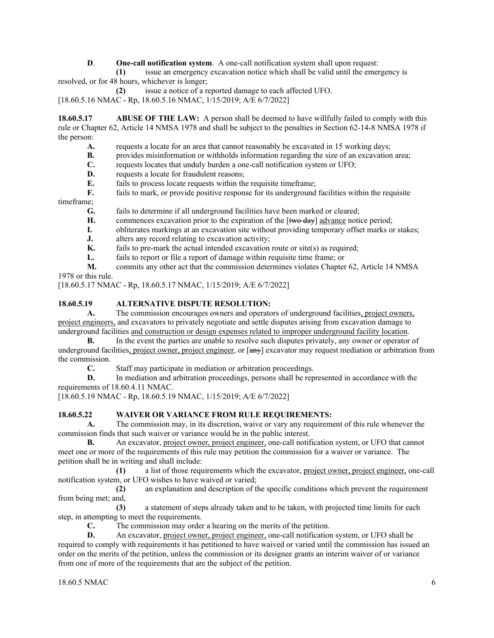**D**. **One-call notification system**. A one-call notification system shall upon request:

 **(1)** issue an emergency excavation notice which shall be valid until the emergency is resolved, or for 48 hours, whichever is longer;

**(2)** issue a notice of a reported damage to each affected UFO.

[18.60.5.16 NMAC - Rp, 18.60.5.16 NMAC, 1/15/2019; A/E 6/7/2022]

**18.60.5.17 ABUSE OF THE LAW:** A person shall be deemed to have willfully failed to comply with this rule or Chapter 62, Article 14 NMSA 1978 and shall be subject to the penalties in Section 62-14-8 NMSA 1978 if the person:

- **A.** requests a locate for an area that cannot reasonably be excavated in 15 working days;
- **B.** provides misinformation or withholds information regarding the size of an excavation area;
- **C.** requests locates that unduly burden a one-call notification system or UFO;<br>**D.** requests a locate for fraudulent reasons:
- requests a locate for fraudulent reasons;
- **E.** fails to process locate requests within the requisite timeframe;

**F.** fails to mark, or provide positive response for its underground facilities within the requisite timeframe;

**G.** fails to determine if all underground facilities have been marked or cleared;

- **H.** commences excavation prior to the expiration of the [<del>two day</del>] advance notice period;
- **I.** obliterates markings at an excavation site without providing temporary offset marks or stakes;
- **J.** alters any record relating to excavation activity;<br>**K.** fails to pre-mark the actual intended excavation
- fails to pre-mark the actual intended excavation route or site(s) as required;
- **L.** fails to report or file a report of damage within requisite time frame; or
- **M.** commits any other act that the commission determines violates Chapter 62, Article 14 NMSA 1978 or this rule.

[18.60.5.17 NMAC - Rp, 18.60.5.17 NMAC, 1/15/2019; A/E 6/7/2022]

### **18.60.5.19 ALTERNATIVE DISPUTE RESOLUTION:**

**A.** The commission encourages owners and operators of underground facilities, project owners, project engineers, and excavators to privately negotiate and settle disputes arising from excavation damage to underground facilities and construction or design expenses related to improper underground facility location.

**B.** In the event the parties are unable to resolve such disputes privately, any owner or operator of underground facilities, project owner, project engineer, or [any] excavator may request mediation or arbitration from the commission.

**C.** Staff may participate in mediation or arbitration proceedings.

**D.** In mediation and arbitration proceedings, persons shall be represented in accordance with the requirements of 18.60.4.11 NMAC.

[18.60.5.19 NMAC - Rp, 18.60.5.19 NMAC, 1/15/2019; A/E 6/7/2022]

### **18.60.5.22 WAIVER OR VARIANCE FROM RULE REQUIREMENTS:**

**A.** The commission may, in its discretion, waive or vary any requirement of this rule whenever the commission finds that such waiver or variance would be in the public interest.

**B.** An excavator, project owner, project engineer, one-call notification system, or UFO that cannot meet one or more of the requirements of this rule may petition the commission for a waiver or variance. The petition shall be in writing and shall include:

 **(1)** a list of those requirements which the excavator, project owner, project engineer, one-call notification system, or UFO wishes to have waived or varied;

 **(2)** an explanation and description of the specific conditions which prevent the requirement from being met; and,

 **(3)** a statement of steps already taken and to be taken, with projected time limits for each step, in attempting to meet the requirements.

**C.** The commission may order a hearing on the merits of the petition.

**D.** An excavator, project owner, project engineer, one-call notification system, or UFO shall be required to comply with requirements it has petitioned to have waived or varied until the commission has issued an order on the merits of the petition, unless the commission or its designee grants an interim waiver of or variance from one of more of the requirements that are the subject of the petition.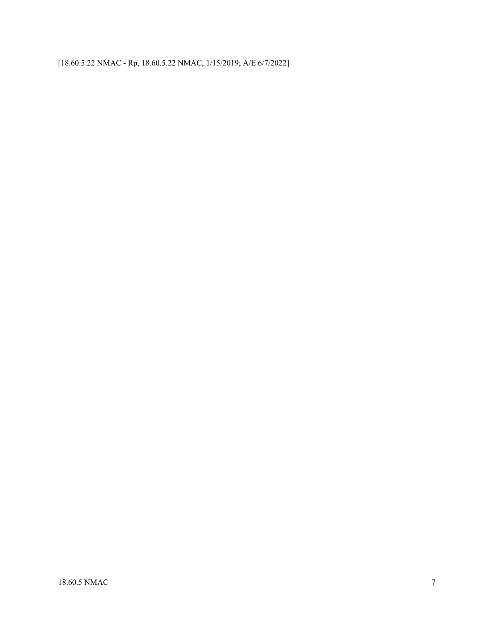[18.60.5.22 NMAC - Rp, 18.60.5.22 NMAC, 1/15/2019; A/E 6/7/2022]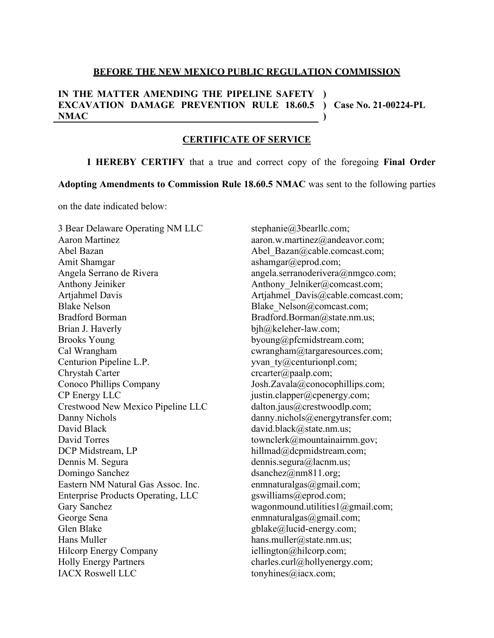#### **BEFORE THE NEW MEXICO PUBLIC REGULATION COMMISSION**

#### **IN THE MATTER AMENDING THE PIPELINE SAFETY EXCAVATION DAMAGE PREVENTION RULE 18.60.5 ) Case No. 21-00224-PL NMAC )**

**)**

#### **CERTIFICATE OF SERVICE**

**I HEREBY CERTIFY** that a true and correct copy of the foregoing **Final Order** 

**Adopting Amendments to Commission Rule 18.60.5 NMAC** was sent to the following parties

on the date indicated below:

3 Bear Delaware Operating NM LLC Aaron Martinez Abel Bazan Amit Shamgar Angela Serrano de Rivera Anthony Jeiniker Artjahmel Davis Blake Nelson Bradford Borman Brian J. Haverly Brooks Young Cal Wrangham Centurion Pipeline L.P. Chrystah Carter Conoco Phillips Company CP Energy LLC Crestwood New Mexico Pipeline LLC Danny Nichols David Black David Torres DCP Midstream, LP Dennis M. Segura Domingo Sanchez Eastern NM Natural Gas Assoc. Inc. Enterprise Products Operating, LLC Gary Sanchez George Sena Glen Blake Hans Muller Hilcorp Energy Company Holly Energy Partners IACX Roswell LLC

stephanie@3bearllc.com; aaron.w.martinez@andeavor.com; Abel Bazan@cable.comcast.com; ashamgar@eprod.com; angela.serranoderivera@nmgco.com; Anthony Jelniker@comcast.com; Artjahmel Davis@cable.comcast.com; Blake\_Nelson@comcast.com; Bradford.Borman@state.nm.us; bjh@keleher-law.com; byoung@pfcmidstream.com; cwrangham@targaresources.com; yvan ty@centurionpl.com; crcarter@paalp.com; Josh.Zavala@conocophillips.com; justin.clapper@cpenergy.com; dalton.jaus@crestwoodlp.com; danny.nichols@energytransfer.com; david.black@state.nm.us; townclerk@mountainairnm.gov; hillmad@dcpmidstream.com; dennis.segura@lacnm.us; dsanchez@nm811.org; enmnaturalgas@gmail.com; gswilliams@eprod.com; wagonmound.utilities1@gmail.com; enmnaturalgas@gmail.com; gblake@lucid-energy.com; hans.muller@state.nm.us; iellington@hilcorp.com; charles.curl@hollyenergy.com; tonyhines@iacx.com;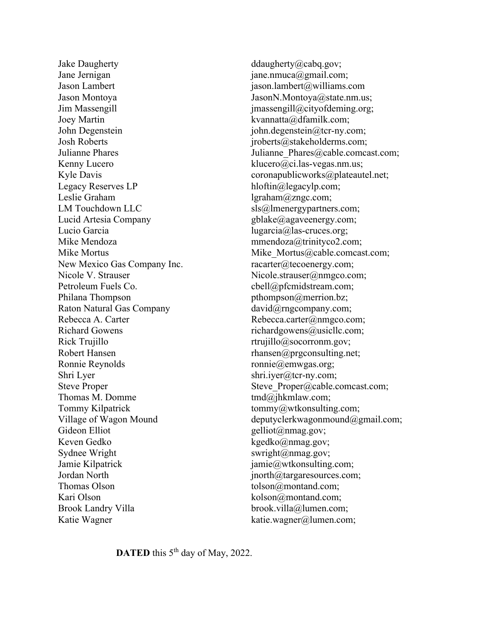Jake Daugherty Jane Jernigan Jason Lambert Jason Montoya Jim Massengill Joey Martin John Degenstein Josh Roberts Julianne Phares Kenny Lucero Kyle Davis Legacy Reserves LP Leslie Graham LM Touchdown LLC Lucid Artesia Company Lucio Garcia Mike Mendoza Mike Mortus New Mexico Gas Company Inc. Nicole V. Strauser Petroleum Fuels Co. Philana Thompson Raton Natural Gas Company Rebecca A. Carter Richard Gowens Rick Trujillo Robert Hansen Ronnie Reynolds Shri Lyer Steve Proper Thomas M. Domme Tommy Kilpatrick Village of Wagon Mound Gideon Elliot Keven Gedko Sydnee Wright Jamie Kilpatrick Jordan North Thomas Olson Kari Olson Brook Landry Villa Katie Wagner

ddaugherty@cabq.gov; jane.nmuca@gmail.com; jason.lambert@williams.com JasonN.Montoya@state.nm.us; jmassengill@cityofdeming.org; kvannatta@dfamilk.com; john.degenstein@tcr-ny.com; jroberts@stakeholderms.com; Julianne Phares@cable.comcast.com; klucero@ci.las-vegas.nm.us; coronapublicworks@plateautel.net; hloftin@legacylp.com; lgraham@zngc.com; sls@lmenergypartners.com; gblake@agaveenergy.com; lugarcia@las-cruces.org; mmendoza@trinityco2.com; Mike Mortus@cable.comcast.com; racarter@tecoenergy.com; Nicole.strauser@nmgco.com; cbell@pfcmidstream.com; pthompson@merrion.bz; david@rngcompany.com; Rebecca.carter@nmgco.com; richardgowens@usicllc.com; rtrujillo@socorronm.gov; rhansen@prgconsulting.net; ronnie@emwgas.org; shri.iyer@tcr-ny.com; Steve\_Proper@cable.comcast.com; tmd@jhkmlaw.com; tommy@wtkonsulting.com; deputyclerkwagonmound@gmail.com; gelliot@nmag.gov; kgedko@nmag.gov; swright@nmag.gov; jamie@wtkonsulting.com; jnorth@targaresources.com; tolson@montand.com; kolson@montand.com; brook.villa@lumen.com; katie.wagner@lumen.com;

**DATED** this 5<sup>th</sup> day of May, 2022.